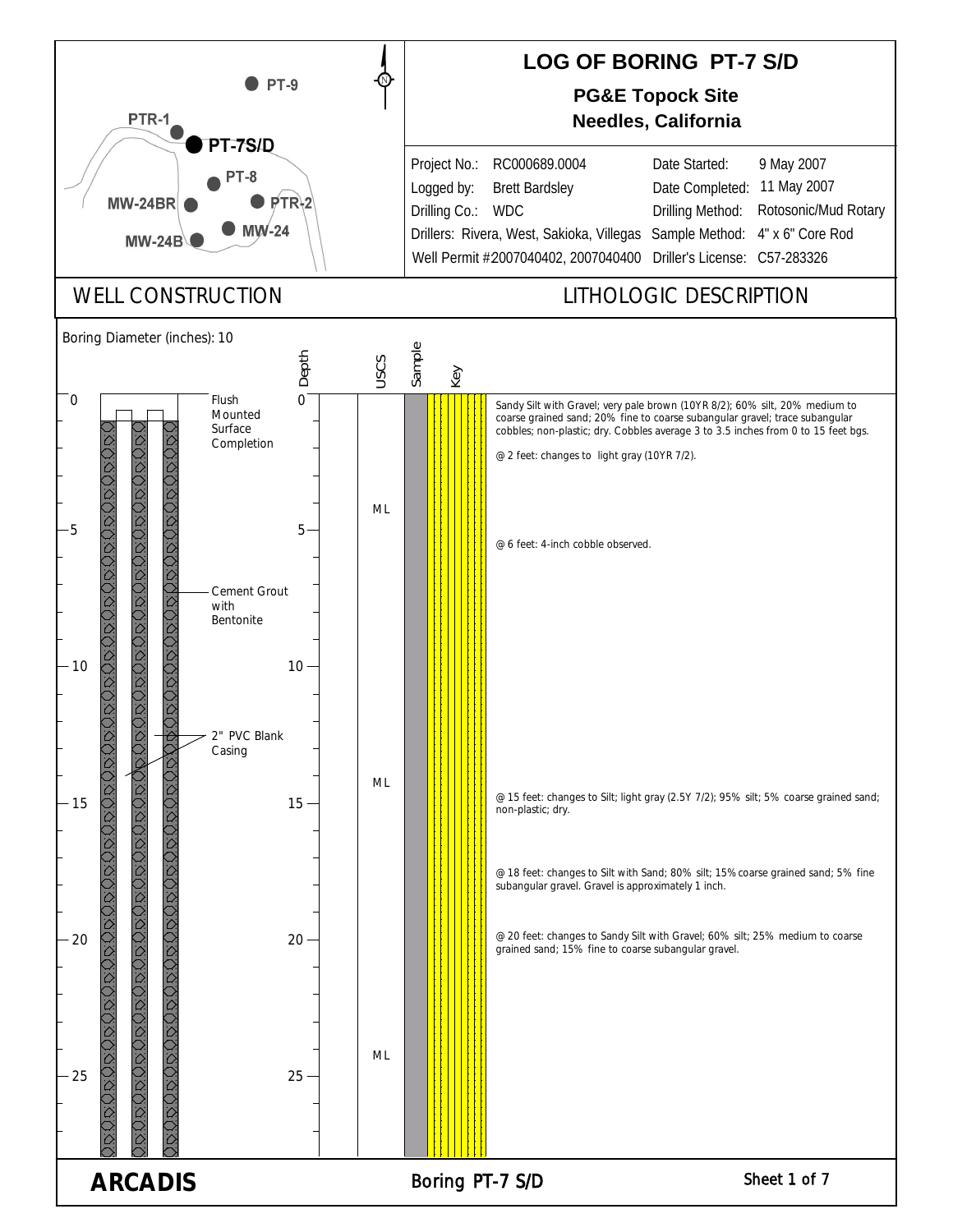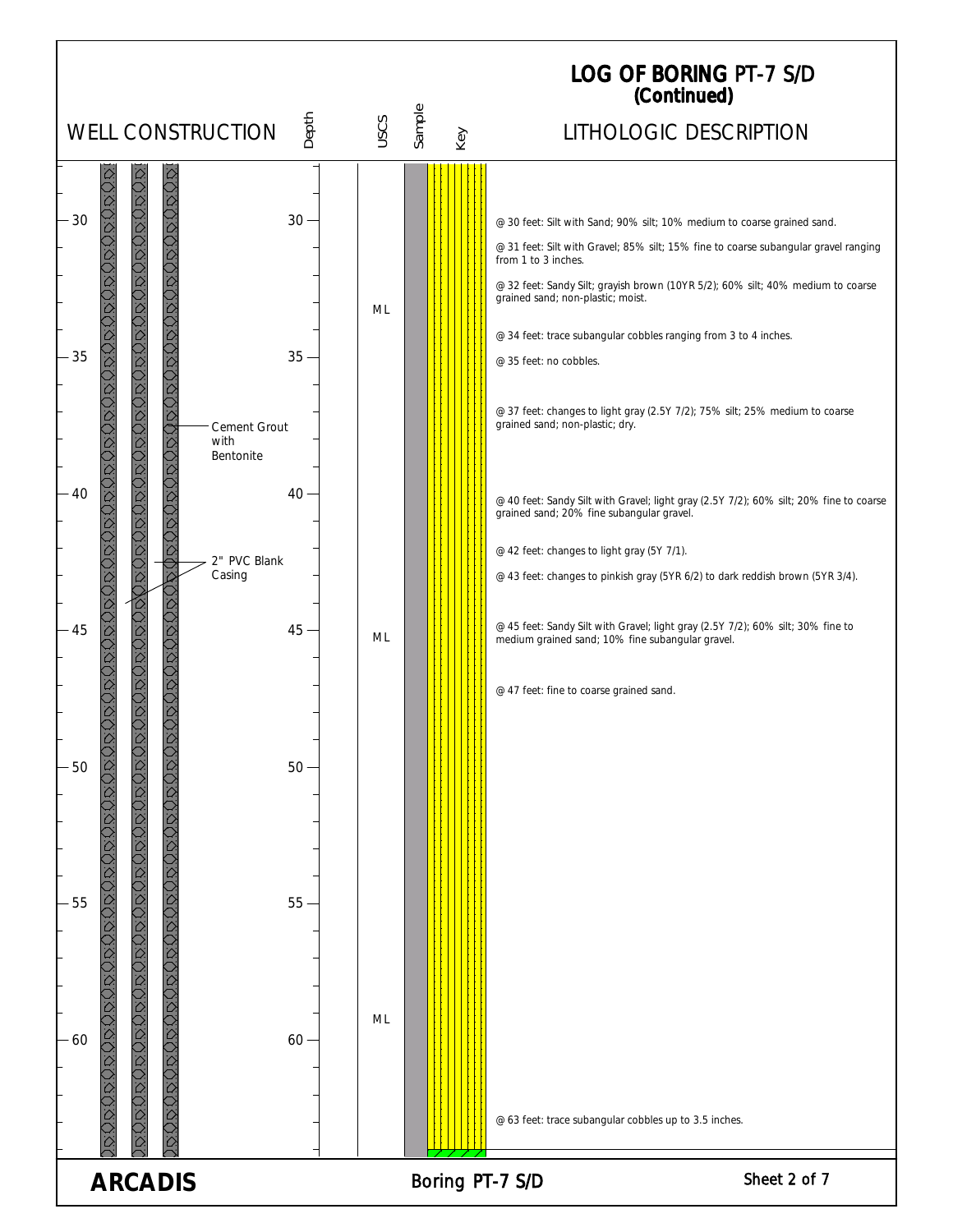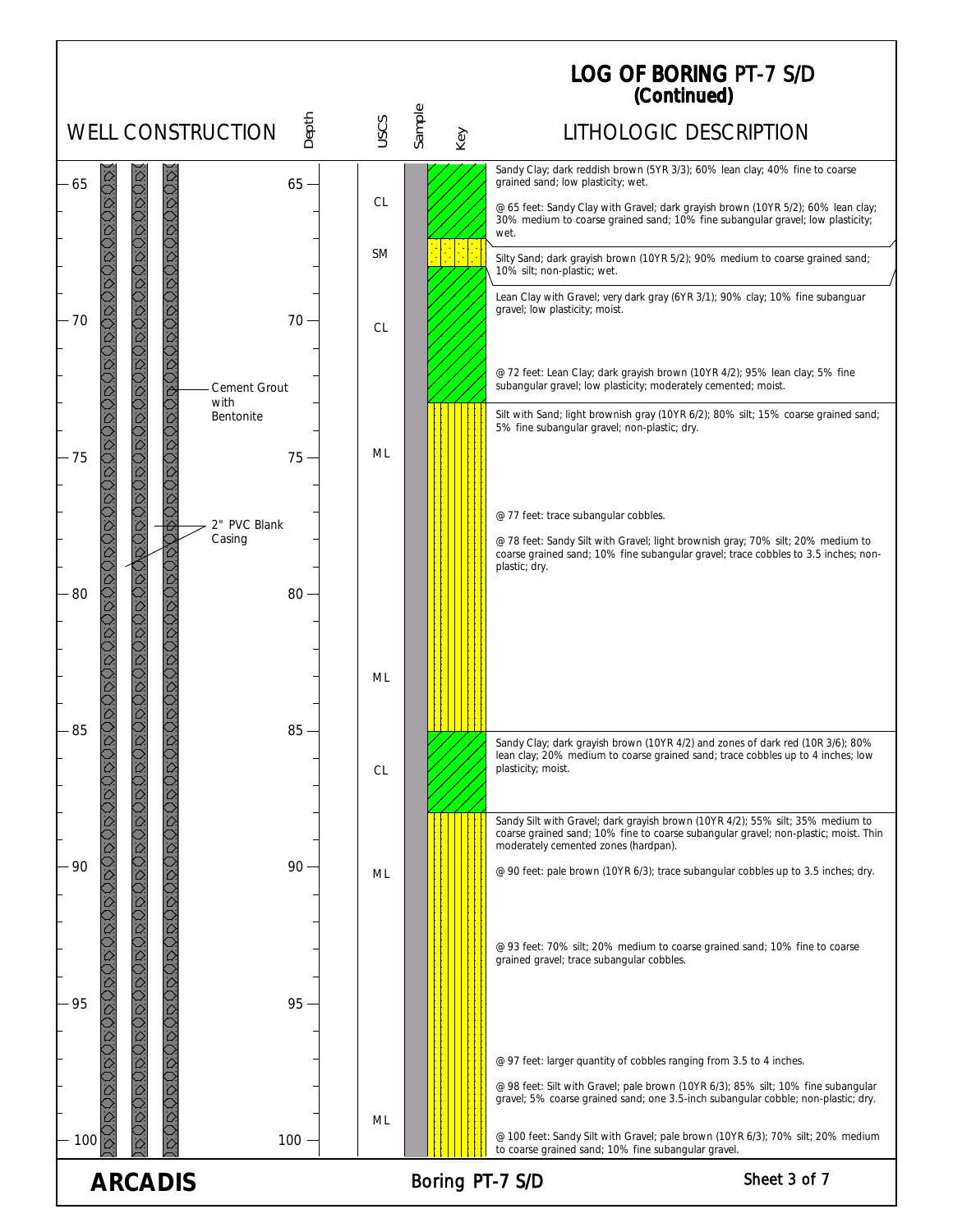## LOG OF BORING (Continued) PT-7 S/D

|                                                                                                                                |                             |           |                 |                                              | (Continued)                                                                                                                                                            |
|--------------------------------------------------------------------------------------------------------------------------------|-----------------------------|-----------|-----------------|----------------------------------------------|------------------------------------------------------------------------------------------------------------------------------------------------------------------------|
| <b>WELL CONSTRUCTION</b>                                                                                                       | Depth                       | USCS      | Sample<br>Key   |                                              | LITHOLOGIC DESCRIPTION                                                                                                                                                 |
| 65                                                                                                                             | $65 -$                      |           |                 | grained sand; low plasticity; wet.           | Sandy Clay; dark reddish brown (5YR 3/3); 60% lean clay; 40% fine to coarse                                                                                            |
| <b>QDQDDQ</b>                                                                                                                  |                             | <b>CL</b> |                 | wet.                                         | @ 65 feet: Sandy Clay with Gravel; dark grayish brown (10YR 5/2); 60% lean clay;<br>30% medium to coarse grained sand; 10% fine subangular gravel; low plasticity;     |
|                                                                                                                                |                             | <b>SM</b> |                 | 10% silt; non-plastic; wet.                  | Silty Sand; dark grayish brown (10YR 5/2); 90% medium to coarse grained sand;                                                                                          |
| <b>DODODOD</b><br>70                                                                                                           | 70                          | <b>CL</b> |                 | gravel; low plasticity; moist.               | Lean Clay with Gravel; very dark gray (6YR 3/1); 90% clay; 10% fine subanguar                                                                                          |
| i<br>O                                                                                                                         | <b>Cement Grout</b>         |           |                 |                                              | @ 72 feet: Lean Clay; dark grayish brown (10YR 4/2); 95% lean clay; 5% fine<br>subangular gravel; low plasticity; moderately cemented; moist.                          |
| OOOO<br>$-75$                                                                                                                  | with<br>Bentonite<br>$75 -$ | ML        |                 | 5% fine subangular gravel; non-plastic; dry. | Silt with Sand; light brownish gray (10YR 6/2); 80% silt; 15% coarse grained sand;                                                                                     |
|                                                                                                                                | 2" PVC Blank                |           |                 | @ 77 feet: trace subangular cobbles.         |                                                                                                                                                                        |
| OOOOOOOOO<br>ことのことのいういうことのこと<br>$-80$                                                                                          | Casing<br>$80 -$            |           |                 | plastic; dry.                                | @ 78 feet: Sandy Silt with Gravel; light brownish gray; 70% silt; 20% medium to<br>coarse grained sand; 10% fine subangular gravel; trace cobbles to 3.5 inches; non-  |
| <b>OOD</b><br>85                                                                                                               | $85 -$                      | ML        |                 |                                              |                                                                                                                                                                        |
| UDU                                                                                                                            |                             | CL        |                 | plasticity; moist.                           | Sandy Clay; dark grayish brown (10YR 4/2) and zones of dark red (10R 3/6); 80%<br>lean clay; 20% medium to coarse grained sand; trace cobbles up to 4 inches; low      |
|                                                                                                                                |                             |           |                 | moderately cemented zones (hardpan).         | Sandy Silt with Gravel; dark grayish brown (10YR 4/2); 55% silt; 35% medium to<br>coarse grained sand; 10% fine to coarse subangular gravel; non-plastic; moist. Thin  |
| ⊃<br>2<br>90                                                                                                                   | $90 -$                      | ML        |                 |                                              | @ 90 feet: pale brown (10YR 6/3); trace subangular cobbles up to 3.5 inches; dry.                                                                                      |
| 0,000,000,000,000,000,000,000,000,000,000,000,000,000,000,000,000,000,000,000,000,000,000,000,000,00<br>O<br>O<br>O<br>O<br>95 | 95                          |           |                 | grained gravel; trace subangular cobbles.    | @ 93 feet: 70% silt; 20% medium to coarse grained sand; 10% fine to coarse                                                                                             |
|                                                                                                                                |                             |           |                 |                                              | @ 97 feet: larger quantity of cobbles ranging from 3.5 to 4 inches.                                                                                                    |
|                                                                                                                                |                             |           |                 |                                              | @ 98 feet: Silt with Gravel; pale brown (10YR 6/3); 85% silt; 10% fine subangular<br>gravel; 5% coarse grained sand; one 3.5-inch subangular cobble; non-plastic; dry. |
| 100                                                                                                                            | 100                         | ML        |                 |                                              | @ 100 feet: Sandy Silt with Gravel; pale brown (10YR 6/3); 70% silt; 20% medium<br>to coarse grained sand; 10% fine subangular gravel.                                 |
| <b>ARCADIS</b>                                                                                                                 |                             |           | Boring PT-7 S/D |                                              | Sheet 3 of 7                                                                                                                                                           |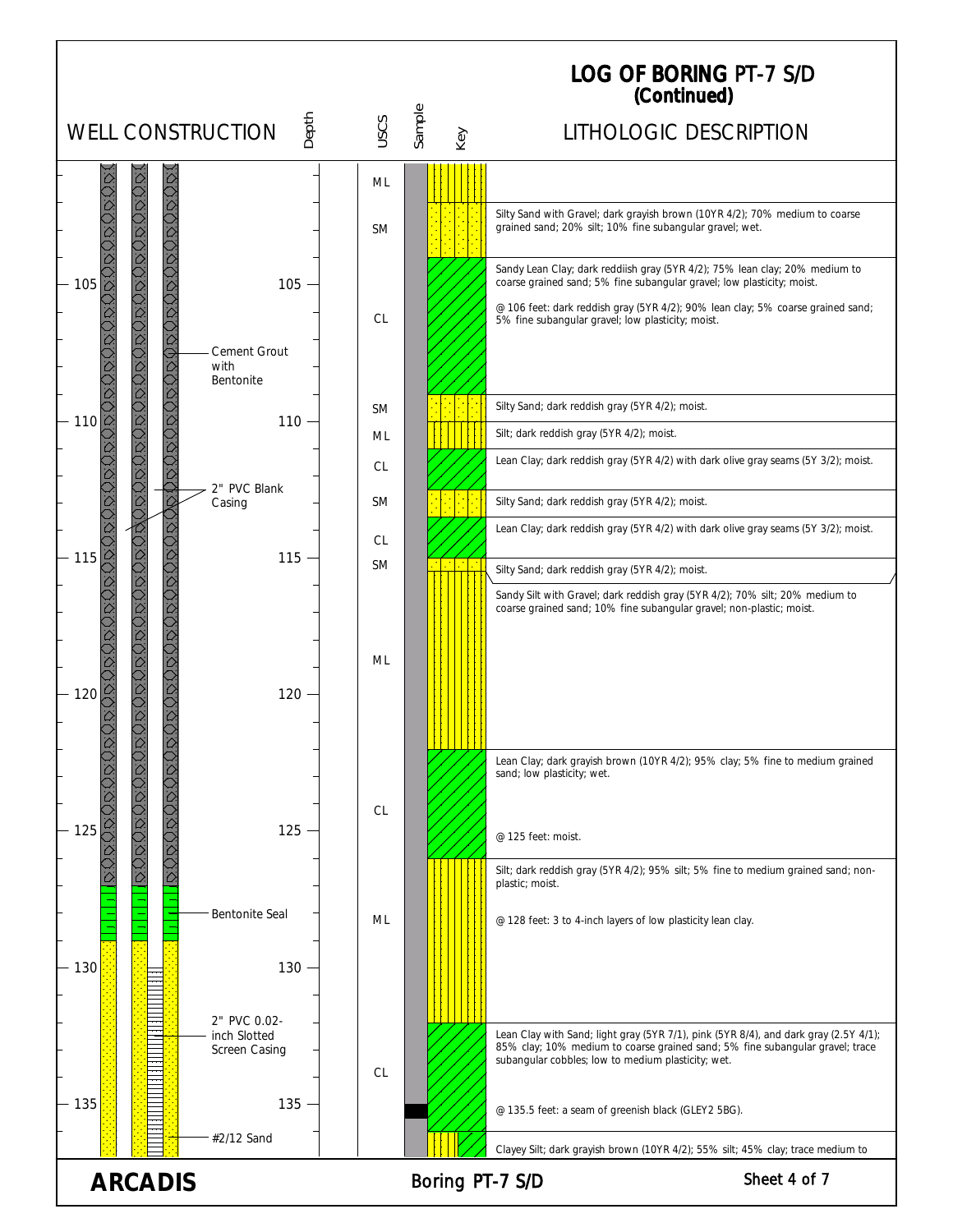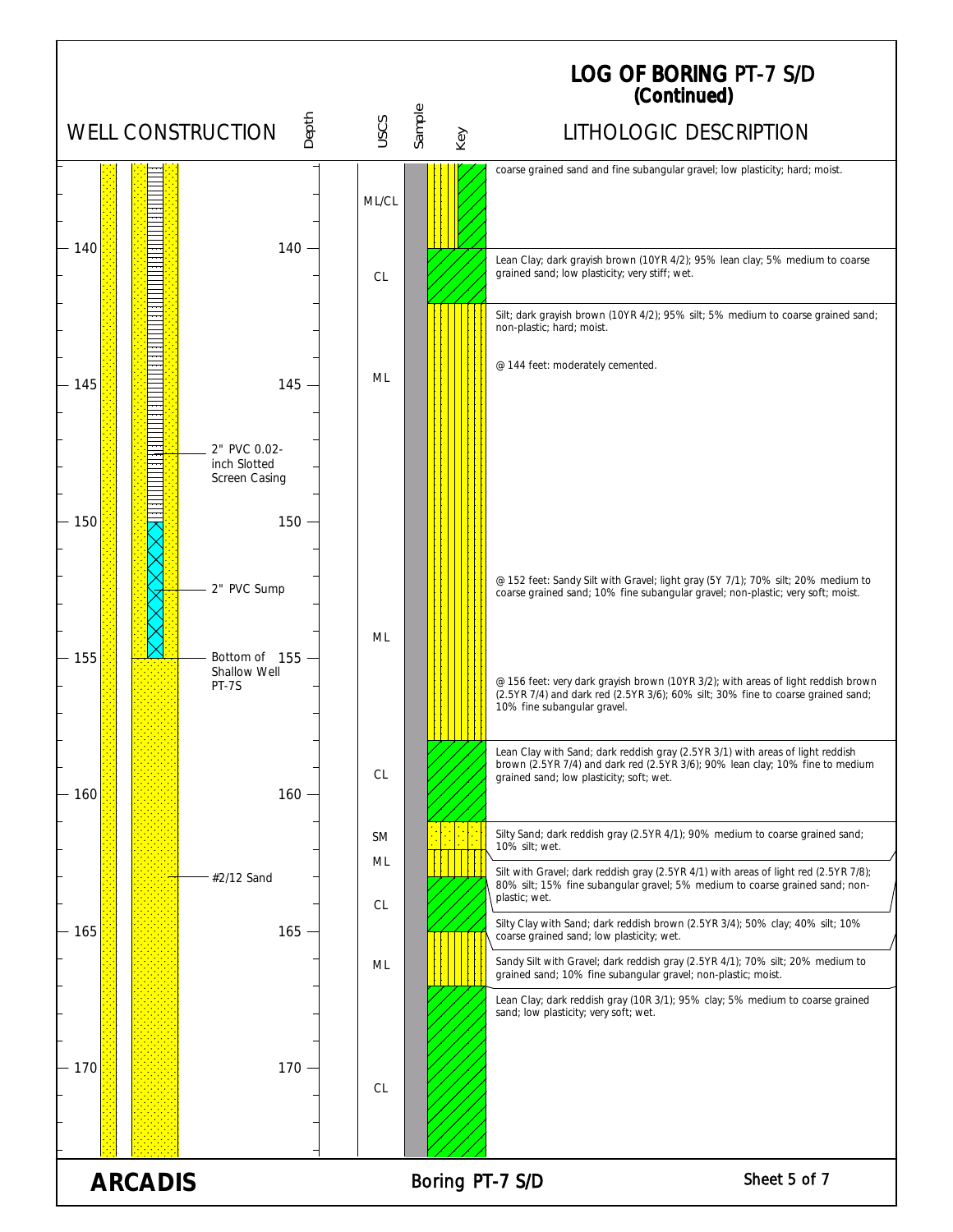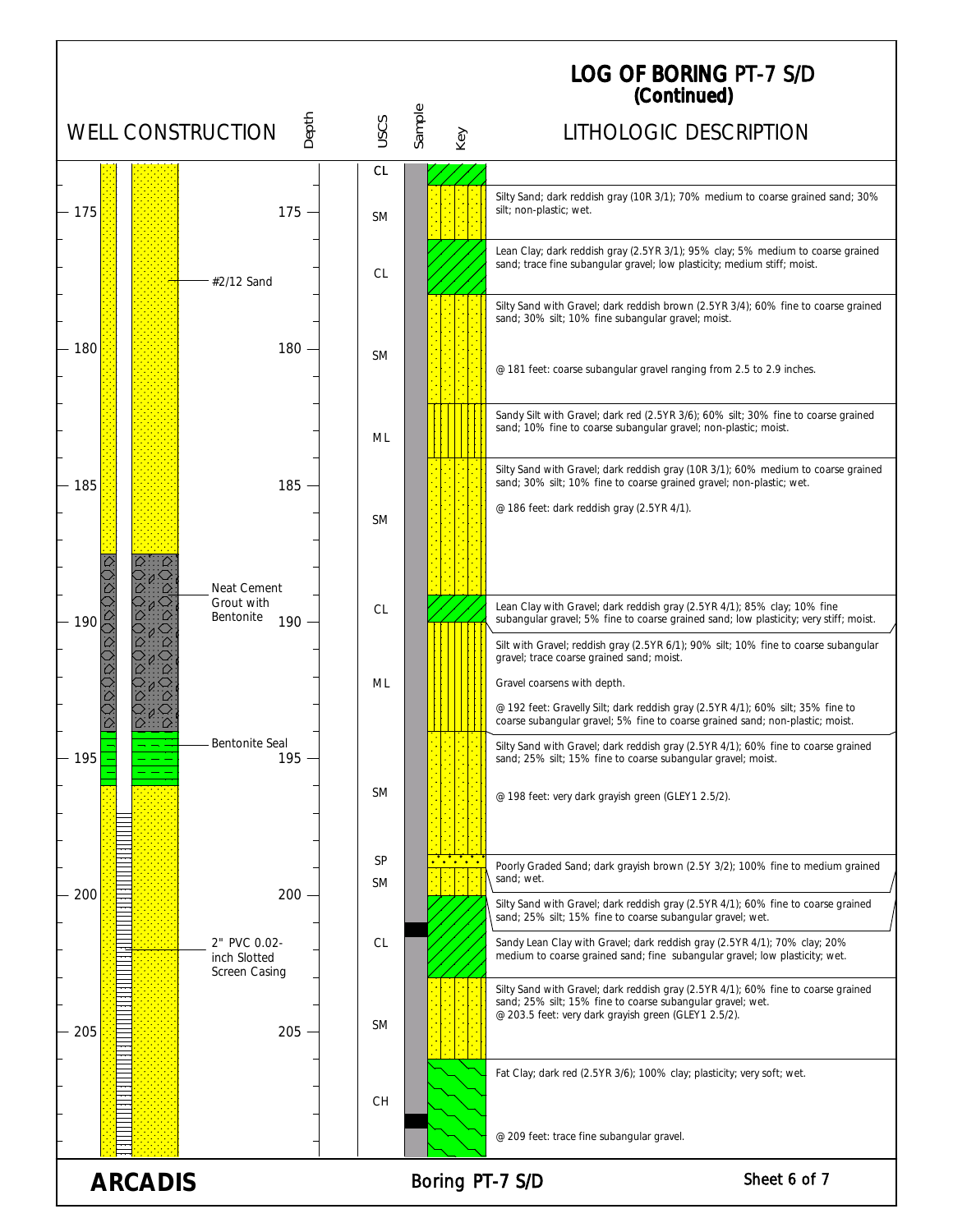|                                                   |                                               |                        |               | <b>LOG OF BORING PT-7 S/D</b><br>(Continued)                                                                                                                                                            |  |  |
|---------------------------------------------------|-----------------------------------------------|------------------------|---------------|---------------------------------------------------------------------------------------------------------------------------------------------------------------------------------------------------------|--|--|
|                                                   | Depth<br><b>WELL CONSTRUCTION</b>             | uscs                   | Sample<br>Key | LITHOLOGIC DESCRIPTION                                                                                                                                                                                  |  |  |
|                                                   |                                               | СL                     |               |                                                                                                                                                                                                         |  |  |
| - 175                                             | $175 -$                                       | <b>SM</b>              |               | Silty Sand; dark reddish gray (10R 3/1); 70% medium to coarse grained sand; 30%<br>silt; non-plastic; wet.                                                                                              |  |  |
|                                                   | #2/12 Sand                                    | <b>CL</b>              |               | Lean Clay; dark reddish gray (2.5YR 3/1); 95% clay; 5% medium to coarse grained<br>sand; trace fine subangular gravel; low plasticity; medium stiff; moist.                                             |  |  |
|                                                   |                                               |                        |               | Silty Sand with Gravel; dark reddish brown (2.5YR 3/4); 60% fine to coarse grained<br>sand; 30% silt; 10% fine subangular gravel; moist.                                                                |  |  |
| 180                                               | 180                                           | <b>SM</b>              |               | @ 181 feet: coarse subangular gravel ranging from 2.5 to 2.9 inches.                                                                                                                                    |  |  |
|                                                   |                                               | ML                     |               | Sandy Silt with Gravel; dark red (2.5YR 3/6); 60% silt; 30% fine to coarse grained<br>sand; 10% fine to coarse subangular gravel; non-plastic; moist.                                                   |  |  |
| 185                                               | $185 -$                                       |                        |               | Silty Sand with Gravel; dark reddish gray (10R 3/1); 60% medium to coarse grained<br>sand; 30% silt; 10% fine to coarse grained gravel; non-plastic; wet.                                               |  |  |
|                                                   |                                               | <b>SM</b>              |               | @ 186 feet: dark reddish gray (2.5YR 4/1).                                                                                                                                                              |  |  |
| 190                                               | Neat Cement<br>Grout with<br>Bentonite<br>190 | <b>CL</b>              |               | Lean Clay with Gravel; dark reddish gray (2.5YR 4/1); 85% clay; 10% fine<br>subangular gravel; 5% fine to coarse grained sand; low plasticity; very stiff; moist.                                       |  |  |
|                                                   |                                               |                        |               | Silt with Gravel; reddish gray (2.5YR 6/1); 90% silt; 10% fine to coarse subangular<br>gravel; trace coarse grained sand; moist.                                                                        |  |  |
|                                                   |                                               | ML                     |               | Gravel coarsens with depth.<br>@ 192 feet: Gravelly Silt; dark reddish gray (2.5YR 4/1); 60% silt; 35% fine to<br>coarse subangular gravel; 5% fine to coarse grained sand; non-plastic; moist.         |  |  |
| 195                                               | Bentonite Seal<br>$195 -$                     |                        |               | Silty Sand with Gravel; dark reddish gray (2.5YR 4/1); 60% fine to coarse grained<br>sand; 25% silt; 15% fine to coarse subangular gravel; moist.                                                       |  |  |
|                                                   |                                               | <b>SM</b>              |               | @ 198 feet: very dark grayish green (GLEY1 2.5/2).                                                                                                                                                      |  |  |
| 200                                               | $200 -$                                       | <b>SP</b><br><b>SM</b> |               | Poorly Graded Sand; dark grayish brown (2.5Y 3/2); 100% fine to medium grained<br>sand; wet.                                                                                                            |  |  |
|                                                   |                                               |                        |               | Silty Sand with Gravel; dark reddish gray (2.5YR 4/1); 60% fine to coarse grained<br>sand; 25% silt; 15% fine to coarse subangular gravel; wet.                                                         |  |  |
|                                                   | 2" PVC 0.02-<br>inch Slotted<br>Screen Casing | CL                     |               | Sandy Lean Clay with Gravel; dark reddish gray (2.5YR 4/1); 70% clay; 20%<br>medium to coarse grained sand; fine subangular gravel; low plasticity; wet.                                                |  |  |
| 205                                               | $205 -$                                       | <b>SM</b>              |               | Silty Sand with Gravel; dark reddish gray (2.5YR 4/1); 60% fine to coarse grained<br>sand; 25% silt; 15% fine to coarse subangular gravel; wet.<br>@ 203.5 feet: very dark grayish green (GLEY1 2.5/2). |  |  |
|                                                   |                                               | <b>CH</b>              |               | Fat Clay; dark red (2.5YR 3/6); 100% clay; plasticity; very soft; wet.                                                                                                                                  |  |  |
|                                                   |                                               |                        |               | @ 209 feet: trace fine subangular gravel.                                                                                                                                                               |  |  |
| Sheet 6 of 7<br><b>ARCADIS</b><br>Boring PT-7 S/D |                                               |                        |               |                                                                                                                                                                                                         |  |  |